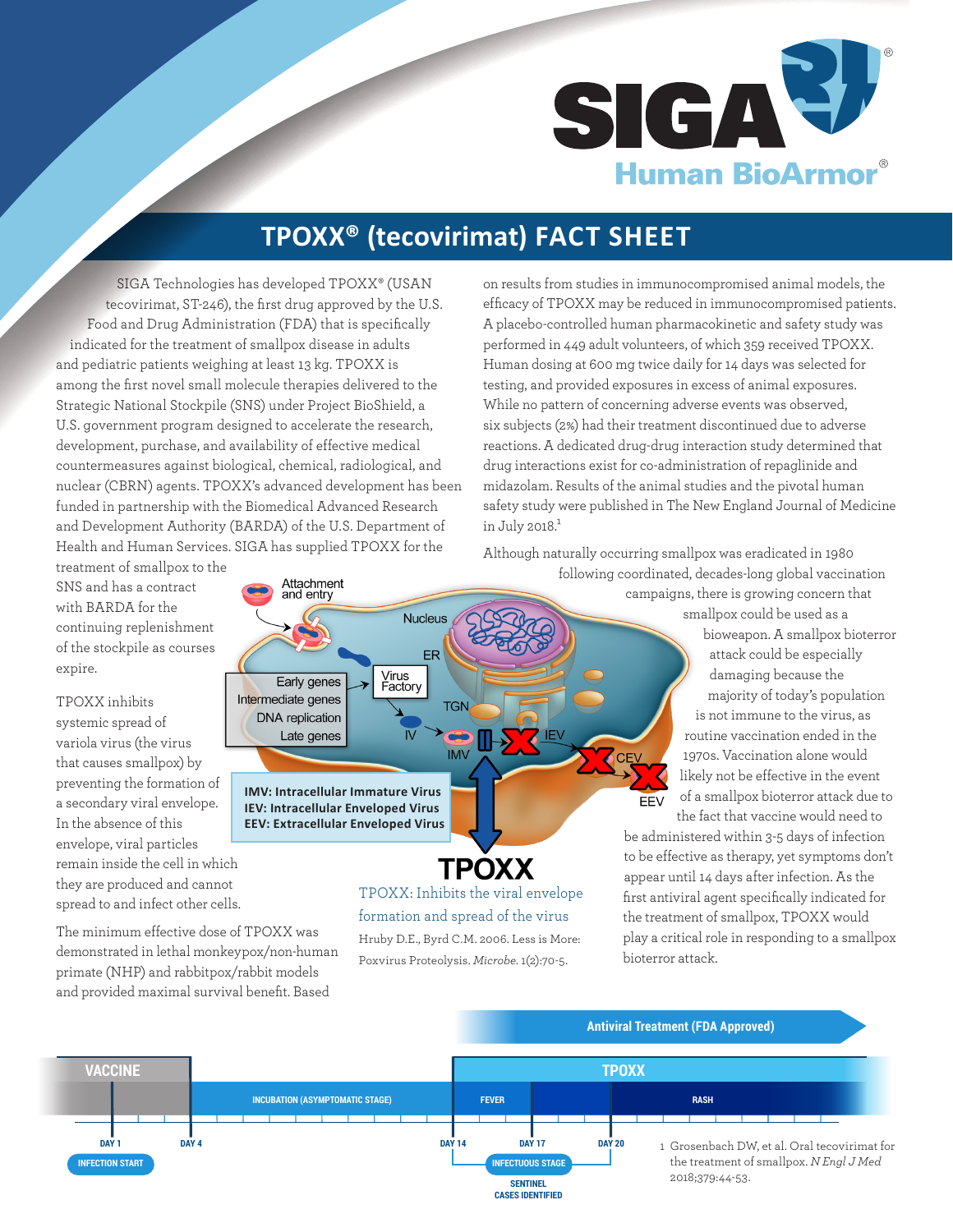

# **TPOXX® (tecovirimat) FACT SHEET**

SIGA Technologies has developed TPOXX® (USAN tecovirimat, ST-246), the first drug approved by the U.S. Food and Drug Administration (FDA) that is specifically indicated for the treatment of smallpox disease in adults and pediatric patients weighing at least 13 kg. TPOXX is among the first novel small molecule therapies delivered to the Strategic National Stockpile (SNS) under Project BioShield, a U.S. government program designed to accelerate the research, development, purchase, and availability of effective medical countermeasures against biological, chemical, radiological, and nuclear (CBRN) agents. TPOXX's advanced development has been funded in partnership with the Biomedical Advanced Research and Development Authority (BARDA) of the U.S. Department of Health and Human Services. SIGA has supplied TPOXX for the

on results from studies in immunocompromised animal models, the efficacy of TPOXX may be reduced in immunocompromised patients. A placebo-controlled human pharmacokinetic and safety study was performed in 449 adult volunteers, of which 359 received TPOXX. Human dosing at 600 mg twice daily for 14 days was selected for testing, and provided exposures in excess of animal exposures. While no pattern of concerning adverse events was observed, six subjects (2%) had their treatment discontinued due to adverse reactions. A dedicated drug-drug interaction study determined that drug interactions exist for co-administration of repaglinide and midazolam. Results of the animal studies and the pivotal human safety study were published in The New England Journal of Medicine in July 2018. $1$ 

Although naturally occurring smallpox was eradicated in 1980 following coordinated, decades-long global vaccination

**FFV** 

treatment of smallpox to the SNS and has a contract with BARDA for the continuing replenishment of the stockpile as courses expire.

TPOXX inhibits systemic spread of variola virus (the virus that causes smallpox) by preventing the formation of a secondary viral envelope. In the absence of this envelope, viral particles remain inside the cell in which they are produced and cannot spread to and infect other cells.

The minimum effective dose of TPOXX was demonstrated in lethal monkeypox/non-human primate (NHP) and rabbitpox/rabbit models and provided maximal survival benefit. Based



**TPOXX** 

TPOXX: Inhibits the viral envelope formation and spread of the virus Hruby D.E., Byrd C.M. 2006. Less is More: Poxvirus Proteolysis. *Microbe*. 1(2):70-5.

campaigns, there is growing concern that smallpox could be used as a bioweapon. A smallpox bioterror attack could be especially

damaging because the majority of today's population is not immune to the virus, as routine vaccination ended in the 1970s. Vaccination alone would likely not be effective in the event of a smallpox bioterror attack due to the fact that vaccine would need to

be administered within 3-5 days of infection to be effective as therapy, yet symptoms don't appear until 14 days after infection. As the first antiviral agent specifically indicated for the treatment of smallpox, TPOXX would play a critical role in responding to a smallpox bioterror attack.